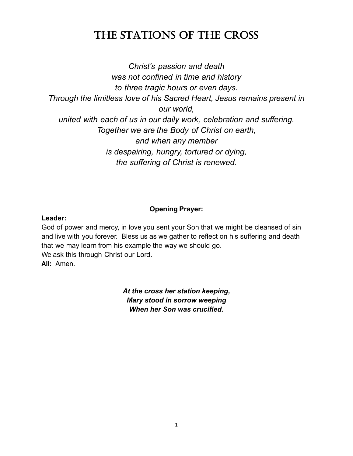# The STaTionS of The CroSS

*Christ's passion and death was not confined in time and history to three tragic hours or even days. Through the limitless love of his Sacred Heart, Jesus remains present in our world, united with each of us in our daily work, celebration and suffering. Together we are the Body of Christ on earth, and when any member is despairing, hungry, tortured or dying, the suffering of Christ is renewed.* 

### **Opening Prayer:**

#### **Leader:**

God of power and mercy, in love you sent your Son that we might be cleansed of sin and live with you forever. Bless us as we gather to reflect on his suffering and death that we may learn from his example the way we should go. We ask this through Christ our Lord. **All:** Amen.

> *At the cross her station keeping, Mary stood in sorrow weeping When her Son was crucified.*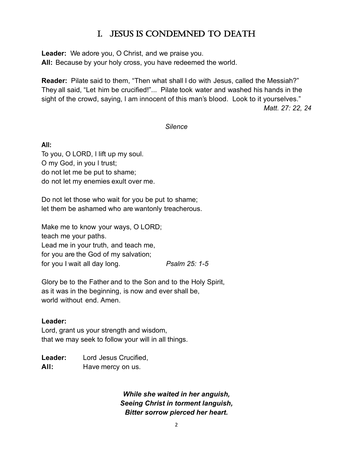# i. JeSuS iS Condemned To deaTh

**Leader:** We adore you, O Christ, and we praise you. **All:** Because by your holy cross, you have redeemed the world.

**Reader:** Pilate said to them, "Then what shall I do with Jesus, called the Messiah?" They all said, "Let him be crucified!"... Pilate took water and washed his hands in the sight of the crowd, saying, I am innocent of this man's blood. Look to it yourselves." *Matt. 27: 22, 24*

#### *Silence*

**All:** To you, O LORD, I lift up my soul. O my God, in you I trust; do not let me be put to shame; do not let my enemies exult over me.

Do not let those who wait for you be put to shame; let them be ashamed who are wantonly treacherous.

Make me to know your ways, O LORD; teach me your paths. Lead me in your truth, and teach me, for you are the God of my salvation; for you I wait all day long. *Psalm 25: 1-5*

Glory be to the Father and to the Son and to the Holy Spirit, as it was in the beginning, is now and ever shall be, world without end. Amen.

#### **Leader:**

Lord, grant us your strength and wisdom, that we may seek to follow your will in all things.

**Leader:** Lord Jesus Crucified, All: Have mercy on us.

> *While she waited in her anguish, Seeing Christ in torment languish, Bitter sorrow pierced her heart.*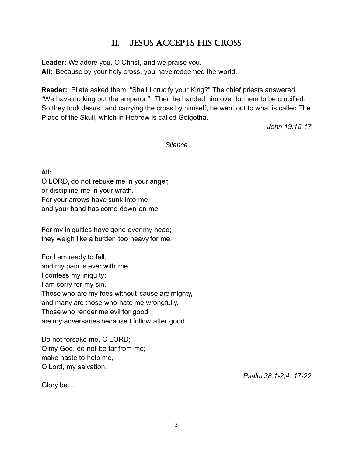# ii. JeSuS aCCepTS hiS CroSS

**Leader:** We adore you, O Christ, and we praise you. **All:** Because by your holy cross, you have redeemed the world.

**Reader:** Pilate asked them, "Shall I crucify your King?" The chief priests answered, "We have no king but the emperor." Then he handed him over to them to be crucified. So they took Jesus; and carrying the cross by himself, he went out to what is called The Place of the Skull, which in Hebrew is called Golgotha.

*John 19:15-17*

*Silence*

**All:**

O LORD, do not rebuke me in your anger, or discipline me in your wrath. For your arrows have sunk into me, and your hand has come down on me.

For my iniquities have gone over my head; they weigh like a burden too heavy for me.

For I am ready to fall, and my pain is ever with me. I confess my iniquity; I am sorry for my sin. Those who are my foes without cause are mighty, and many are those who hate me wrongfully. Those who render me evil for good are my adversaries because I follow after good.

Do not forsake me, O LORD; O my God, do not be far from me; make haste to help me, O Lord, my salvation.

Glory be…

*Psalm 38:1-2,4, 17-22*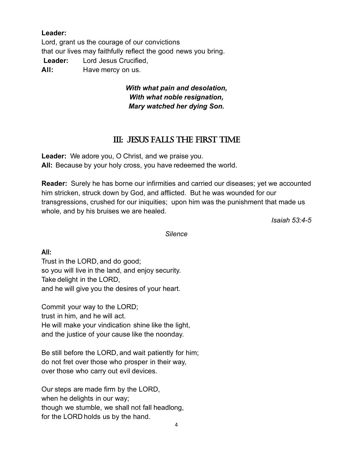### **Leader:**

Lord, grant us the courage of our convictions that our lives may faithfully reflect the good news you bring. **Leader:** Lord Jesus Crucified, All: Have mercy on us.

### *With what pain and desolation, With what noble resignation, Mary watched her dying Son.*

## iii: JeSuS fallS The firST Time

**Leader:** We adore you, O Christ, and we praise you. **All:** Because by your holy cross, you have redeemed the world.

**Reader:** Surely he has borne our infirmities and carried our diseases; yet we accounted him stricken, struck down by God, and afflicted. But he was wounded for our transgressions, crushed for our iniquities; upon him was the punishment that made us whole, and by his bruises we are healed.

*Isaiah 53:4-5*

*Silence*

**All:**

Trust in the LORD, and do good; so you will live in the land, and enjoy security. Take delight in the LORD, and he will give you the desires of your heart.

Commit your way to the LORD; trust in him, and he will act. He will make your vindication shine like the light, and the justice of your cause like the noonday.

Be still before the LORD, and wait patiently for him; do not fret over those who prosper in their way, over those who carry out evil devices.

Our steps are made firm by the LORD, when he delights in our way; though we stumble, we shall not fall headlong, for the LORD holds us by the hand.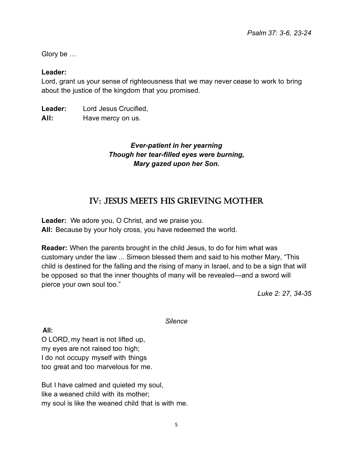Glory be …

#### **Leader:**

Lord, grant us your sense of righteousness that we may never cease to work to bring about the justice of the kingdom that you promised.

**Leader:** Lord Jesus Crucified, All: Have mercy on us.

### *Ever-patient in her yearning Though her tear-filled eyes were burning, Mary gazed upon her Son.*

## iV: JeSuS meeTS hiS grieVing moTher

**Leader:** We adore you, O Christ, and we praise you. **All:** Because by your holy cross, you have redeemed the world.

**Reader:** When the parents brought in the child Jesus, to do for him what was customary under the law ... Simeon blessed them and said to his mother Mary, "This child is destined for the falling and the rising of many in Israel, and to be a sign that will be opposed so that the inner thoughts of many will be revealed—and a sword will pierce your own soul too."

*Luke 2: 27, 34-35*

*Silence*

**All:**

O LORD, my heart is not lifted up, my eyes are not raised too high; I do not occupy myself with things too great and too marvelous for me.

But I have calmed and quieted my soul, like a weaned child with its mother; my soul is like the weaned child that is with me.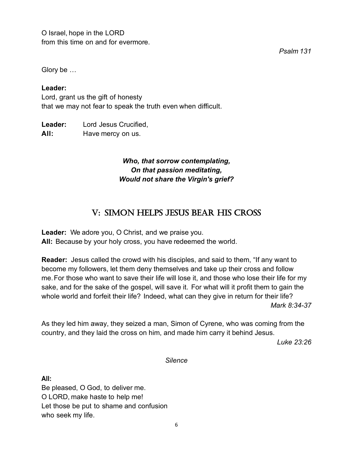O Israel, hope in the LORD from this time on and for evermore.

*Psalm 131*

Glory be …

#### **Leader:**

Lord, grant us the gift of honesty that we may not fear to speak the truth even when difficult.

**Leader:** Lord Jesus Crucified, All: Have mercy on us.

### *Who, that sorrow contemplating, On that passion meditating, Would not share the Virgin's grief?*

# V: Simon helpS JeSuS bear hiS CroSS

**Leader:** We adore you, O Christ, and we praise you. **All:** Because by your holy cross, you have redeemed the world.

**Reader:** Jesus called the crowd with his disciples, and said to them, "If any want to become my followers, let them deny themselves and take up their cross and follow me.For those who want to save their life will lose it, and those who lose their life for my sake, and for the sake of the gospel, will save it. For what will it profit them to gain the whole world and forfeit their life? Indeed, what can they give in return for their life? *Mark 8:34-37*

As they led him away, they seized a man, Simon of Cyrene, who was coming from the country, and they laid the cross on him, and made him carry it behind Jesus.

*Luke 23:26*

*Silence*

**All:**

Be pleased, O God, to deliver me. O LORD, make haste to help me! Let those be put to shame and confusion who seek my life.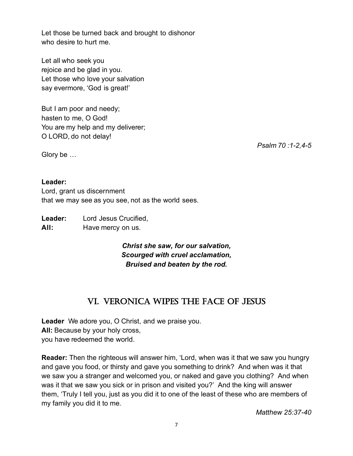Let those be turned back and brought to dishonor who desire to hurt me.

Let all who seek you rejoice and be glad in you. Let those who love your salvation say evermore, 'God is great!'

But I am poor and needy; hasten to me, O God! You are my help and my deliverer; O LORD, do not delay!

Lord, grant us discernment

**Leader:** Lord Jesus Crucified,

*Psalm 70 :1-2,4-5*

Glory be …

**Leader:**

All: Have mercy on us. *Christ she saw, for our salvation, Scourged with cruel acclamation,* 

# *Bruised and beaten by the rod.*

# Vi. VeroniCa wipeS The faCe of JeSuS

**Leader** We adore you, O Christ, and we praise you. **All:** Because by your holy cross, you have redeemed the world.

that we may see as you see, not as the world sees.

**Reader:** Then the righteous will answer him, 'Lord, when was it that we saw you hungry and gave you food, or thirsty and gave you something to drink? And when was it that we saw you a stranger and welcomed you, or naked and gave you clothing? And when was it that we saw you sick or in prison and visited you?' And the king will answer them, 'Truly I tell you, just as you did it to one of the least of these who are members of my family you did it to me*.* 

*Matthew 25:37-40*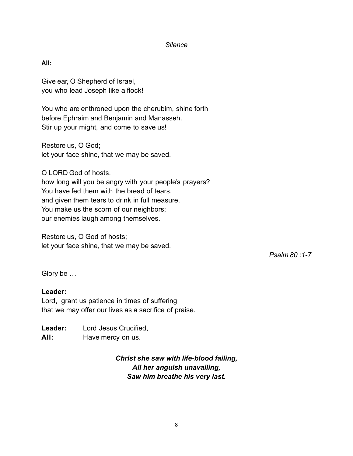#### *Silence*

**All:**

Give ear, O Shepherd of Israel, you who lead Joseph like a flock!

You who are enthroned upon the cherubim, shine forth before Ephraim and Benjamin and Manasseh. Stir up your might, and come to save us!

Restore us, O God; let your face shine, that we may be saved.

O LORD God of hosts, how long will you be angry with your people's prayers? You have fed them with the bread of tears, and given them tears to drink in full measure. You make us the scorn of our neighbors; our enemies laugh among themselves.

Restore us, O God of hosts; let your face shine, that we may be saved.

*Psalm 80 :1-7*

Glory be …

#### **Leader:**

Lord, grant us patience in times of suffering that we may offer our lives as a sacrifice of praise.

**Leader:** Lord Jesus Crucified, All: Have mercy on us.

> *Christ she saw with life-blood failing, All her anguish unavailing, Saw him breathe his very last.*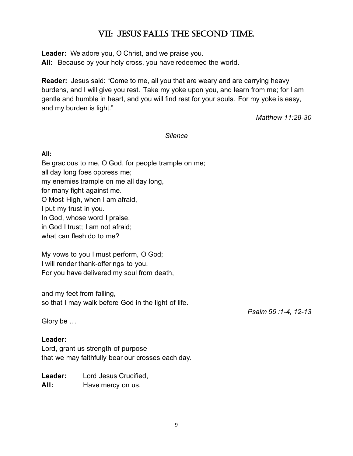# Vii: JeSuS fallS The SeCond Time.

**Leader:** We adore you, O Christ, and we praise you. **All:** Because by your holy cross, you have redeemed the world.

**Reader:** Jesus said: "Come to me, all you that are weary and are carrying heavy burdens, and I will give you rest. Take my yoke upon you, and learn from me; for I am gentle and humble in heart, and you will find rest for your souls. For my yoke is easy, and my burden is light."

*Matthew 11:28-30*

#### *Silence*

### **All:**

Be gracious to me, O God, for people trample on me; all day long foes oppress me; my enemies trample on me all day long, for many fight against me. O Most High, when I am afraid, I put my trust in you. In God, whose word I praise, in God I trust; I am not afraid; what can flesh do to me?

My vows to you I must perform, O God; I will render thank-offerings to you. For you have delivered my soul from death,

and my feet from falling, so that I may walk before God in the light of life.

*Psalm 56 :1-4, 12-13*

Glory be …

### **Leader:**

Lord, grant us strength of purpose that we may faithfully bear our crosses each day.

**Leader:** Lord Jesus Crucified, All: Have mercy on us.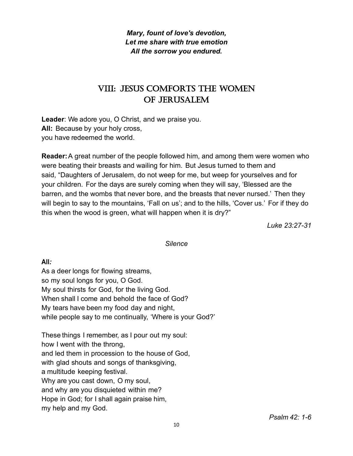*Mary, fount of love's devotion, Let me share with true emotion All the sorrow you endured.* 

# VIII: JESUS COMFORTS THE WOMEN of JeruSalem

**Leader**: We adore you, O Christ, and we praise you. **All:** Because by your holy cross, you have redeemed the world.

**Reader:**A great number of the people followed him, and among them were women who were beating their breasts and wailing for him. But Jesus turned to them and said, "Daughters of Jerusalem, do not weep for me, but weep for yourselves and for your children. For the days are surely coming when they will say, 'Blessed are the barren, and the wombs that never bore, and the breasts that never nursed.' Then they will begin to say to the mountains, 'Fall on us'; and to the hills, 'Cover us.' For if they do this when the wood is green, what will happen when it is dry?"

*Luke 23:27-31*

#### *Silence*

**All***:*

As a deer longs for flowing streams, so my soul longs for you, O God. My soul thirsts for God, for the living God. When shall I come and behold the face of God? My tears have been my food day and night, while people say to me continually, 'Where is your God?'

These things I remember, as I pour out my soul: how I went with the throng, and led them in procession to the house of God, with glad shouts and songs of thanksgiving, a multitude keeping festival. Why are you cast down, O my soul, and why are you disquieted within me? Hope in God; for I shall again praise him, my help and my God.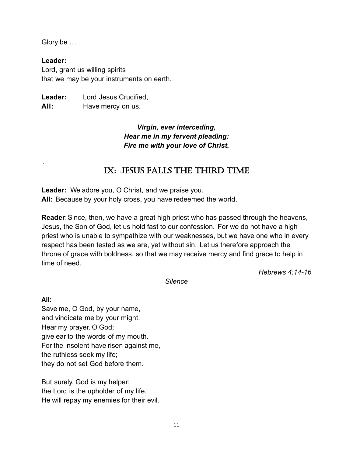Glory be …

**Leader:** Lord, grant us willing spirits that we may be your instruments on earth.

**Leader:** Lord Jesus Crucified, All: Have mercy on us.

> *Virgin, ever interceding, Hear me in my fervent pleading: Fire me with your love of Christ.*

# iX: JeSuS fallS The Third Time

**Leader:** We adore you, O Christ, and we praise you. **All:** Because by your holy cross, you have redeemed the world.

**Reader**:Since, then, we have a great high priest who has passed through the heavens, Jesus, the Son of God, let us hold fast to our confession. For we do not have a high priest who is unable to sympathize with our weaknesses, but we have one who in every respect has been tested as we are, yet without sin. Let us therefore approach the throne of grace with boldness, so that we may receive mercy and find grace to help in time of need.

*Hebrews 4:14-16*

*Silence*

**All:**

.

Save me, O God, by your name, and vindicate me by your might. Hear my prayer, O God; give ear to the words of my mouth. For the insolent have risen against me, the ruthless seek my life; they do not set God before them.

But surely, God is my helper; the Lord is the upholder of my life. He will repay my enemies for their evil.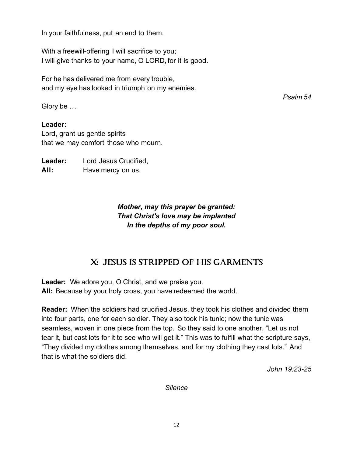In your faithfulness, put an end to them.

With a freewill-offering I will sacrifice to you; I will give thanks to your name, O LORD, for it is good.

For he has delivered me from every trouble, and my eye has looked in triumph on my enemies.

*Psalm 54*

Glory be …

**Leader:**

Lord, grant us gentle spirits that we may comfort those who mourn.

**Leader:** Lord Jesus Crucified, All: Have mercy on us.

> *Mother, may this prayer be granted: That Christ's love may be implanted In the depths of my poor soul.*

### X: JeSuS iS STripped of hiS garmenTS

**Leader:** We adore you, O Christ, and we praise you. **All:** Because by your holy cross, you have redeemed the world.

**Reader:** When the soldiers had crucified Jesus, they took his clothes and divided them into four parts, one for each soldier. They also took his tunic; now the tunic was seamless, woven in one piece from the top. So they said to one another, "Let us not tear it, but cast lots for it to see who will get it." This was to fulfill what the scripture says, "They divided my clothes among themselves, and for my clothing they cast lots." And that is what the soldiers did.

*John 19:23-25*

*Silence*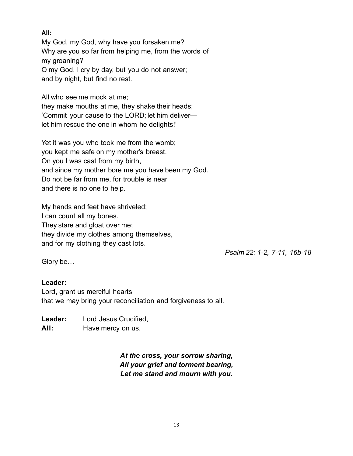### **All:**

My God, my God, why have you forsaken me? Why are you so far from helping me, from the words of my groaning? O my God, I cry by day, but you do not answer; and by night, but find no rest.

All who see me mock at me;

they make mouths at me, they shake their heads; 'Commit your cause to the LORD; let him deliver let him rescue the one in whom he delights!'

Yet it was you who took me from the womb; you kept me safe on my mother's breast. On you I was cast from my birth, and since my mother bore me you have been my God. Do not be far from me, for trouble is near and there is no one to help.

My hands and feet have shriveled; I can count all my bones. They stare and gloat over me; they divide my clothes among themselves, and for my clothing they cast lots.

*Psalm 22: 1-2, 7-11, 16b-18*

Glory be…

### **Leader:**

Lord, grant us merciful hearts that we may bring your reconciliation and forgiveness to all.

**Leader:** Lord Jesus Crucified,

All: Have mercy on us.

*At the cross, your sorrow sharing, All your grief and torment bearing, Let me stand and mourn with you.*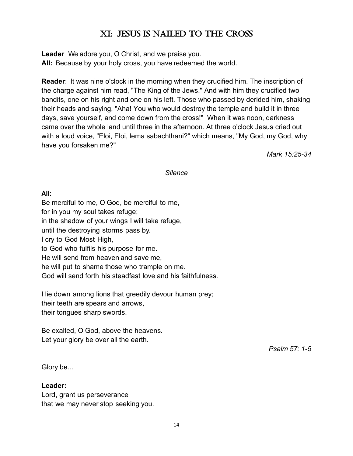# XI: JESUS IS NAILED TO THE CROSS

**Leader** We adore you, O Christ, and we praise you. **All:** Because by your holy cross, you have redeemed the world.

**Reader**: It was nine o'clock in the morning when they crucified him. The inscription of the charge against him read, "The King of the Jews." And with him they crucified two bandits, one on his right and one on his left. Those who passed by derided him, shaking their heads and saying, "Aha! You who would destroy the temple and build it in three days, save yourself, and come down from the cross!" When it was noon, darkness came over the whole land until three in the afternoon. At three o'clock Jesus cried out with a loud voice, "Eloi, Eloi, lema sabachthani?" which means, "My God, my God, why have you forsaken me?"

*Mark 15:25-34*

*Silence*

### **All:**

Be merciful to me, O God, be merciful to me, for in you my soul takes refuge; in the shadow of your wings I will take refuge, until the destroying storms pass by. I cry to God Most High, to God who fulfils his purpose for me. He will send from heaven and save me, he will put to shame those who trample on me. God will send forth his steadfast love and his faithfulness.

I lie down among lions that greedily devour human prey; their teeth are spears and arrows, their tongues sharp swords.

Be exalted, O God, above the heavens. Let your glory be over all the earth.

*Psalm 57: 1-5*

Glory be...

#### **Leader:**

Lord, grant us perseverance that we may never stop seeking you.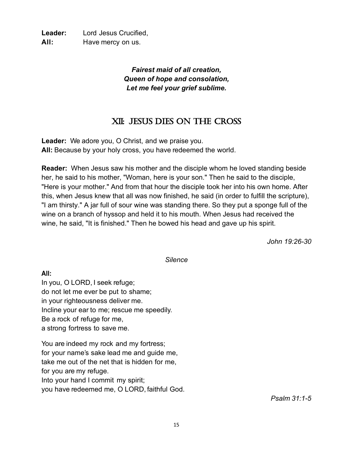**Leader:** Lord Jesus Crucified, All: Have mercy on us.

> *Fairest maid of all creation, Queen of hope and consolation, Let me feel your grief sublime.*

# Xii: JeSuS dieS on The CroSS

**Leader:** We adore you, O Christ, and we praise you. **All:** Because by your holy cross, you have redeemed the world.

**Reader:** When Jesus saw his mother and the disciple whom he loved standing beside her, he said to his mother, "Woman, here is your son." Then he said to the disciple, "Here is your mother." And from that hour the disciple took her into his own home. After this, when Jesus knew that all was now finished, he said (in order to fulfill the scripture), "I am thirsty." A jar full of sour wine was standing there. So they put a sponge full of the wine on a branch of hyssop and held it to his mouth. When Jesus had received the wine, he said, "It is finished." Then he bowed his head and gave up his spirit.

*John 19:26-30*

*Silence*

#### **All:**

In you, O LORD, I seek refuge; do not let me ever be put to shame; in your righteousness deliver me. Incline your ear to me; rescue me speedily. Be a rock of refuge for me, a strong fortress to save me.

You are indeed my rock and my fortress; for your name's sake lead me and guide me, take me out of the net that is hidden for me, for you are my refuge. Into your hand I commit my spirit; you have redeemed me, O LORD, faithful God.

*Psalm 31:1-5*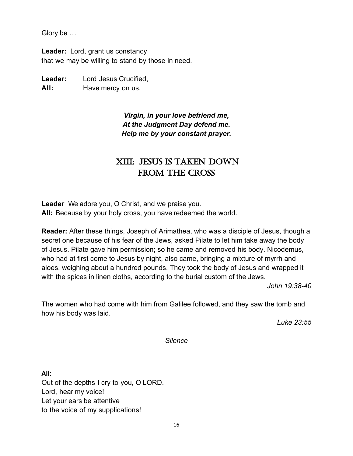Glory be …

**Leader:** Lord, grant us constancy that we may be willing to stand by those in need.

**Leader:** Lord Jesus Crucified, All: Have mercy on us.

> *Virgin, in your love befriend me, At the Judgment Day defend me. Help me by your constant prayer.*

# XIII: JESUS IS TAKEN DOWN FROM THE CROSS

**Leader** We adore you, O Christ, and we praise you. **All:** Because by your holy cross, you have redeemed the world.

**Reader:** After these things, Joseph of Arimathea, who was a disciple of Jesus, though a secret one because of his fear of the Jews, asked Pilate to let him take away the body of Jesus. Pilate gave him permission; so he came and removed his body. Nicodemus, who had at first come to Jesus by night, also came, bringing a mixture of myrrh and aloes, weighing about a hundred pounds. They took the body of Jesus and wrapped it with the spices in linen cloths, according to the burial custom of the Jews.

*John 19:38-40*

The women who had come with him from Galilee followed, and they saw the tomb and how his body was laid.

*Luke 23:55*

*Silence*

**All:** Out of the depths I cry to you, O LORD. Lord, hear my voice! Let your ears be attentive to the voice of my supplications!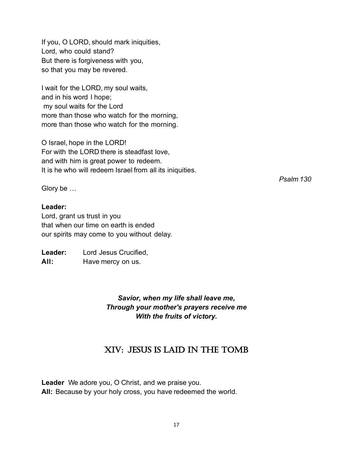If you, O LORD, should mark iniquities, Lord, who could stand? But there is forgiveness with you, so that you may be revered.

I wait for the LORD, my soul waits, and in his word I hope; my soul waits for the Lord more than those who watch for the morning, more than those who watch for the morning.

O Israel, hope in the LORD! For with the LORD there is steadfast love, and with him is great power to redeem. It is he who will redeem Israel from all its iniquities.

Glory be …

### **Leader:**

Lord, grant us trust in you that when our time on earth is ended our spirits may come to you without delay.

**Leader:** Lord Jesus Crucified, All: Have mercy on us.

> *Savior, when my life shall leave me, Through your mother's prayers receive me With the fruits of victory.*

# XiV: JeSuS iS laid in The Tomb

**Leader** We adore you, O Christ, and we praise you. **All:** Because by your holy cross, you have redeemed the world. *Psalm 130*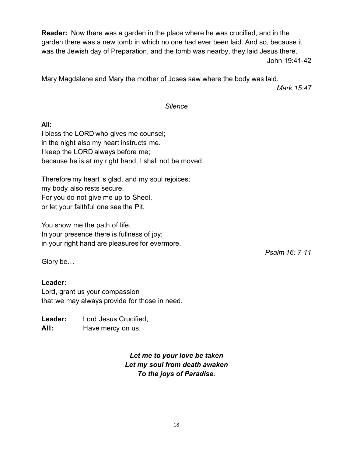**Reader:** Now there was a garden in the place where he was crucified, and in the garden there was a new tomb in which no one had ever been laid. And so, because it was the Jewish day of Preparation, and the tomb was nearby, they laid Jesus there. John 19:41-42

Mary Magdalene and Mary the mother of Joses saw where the body was laid.

*Mark 15:47*

#### *Silence*

#### **All:**

I bless the LORD who gives me counsel; in the night also my heart instructs me. I keep the LORD always before me; because he is at my right hand, I shall not be moved.

Therefore my heart is glad, and my soul rejoices; my body also rests secure. For you do not give me up to Sheol, or let your faithful one see the Pit.

You show me the path of life. In your presence there is fullness of joy; in your right hand are pleasures for evermore.

*Psalm 16: 7-11*

Glory be…

### **Leader:**

Lord, grant us your compassion that we may always provide for those in need.

**Leader:** Lord Jesus Crucified, All: Have mercy on us.

> *Let me to your love be taken Let my soul from death awaken To the joys of Paradise.*